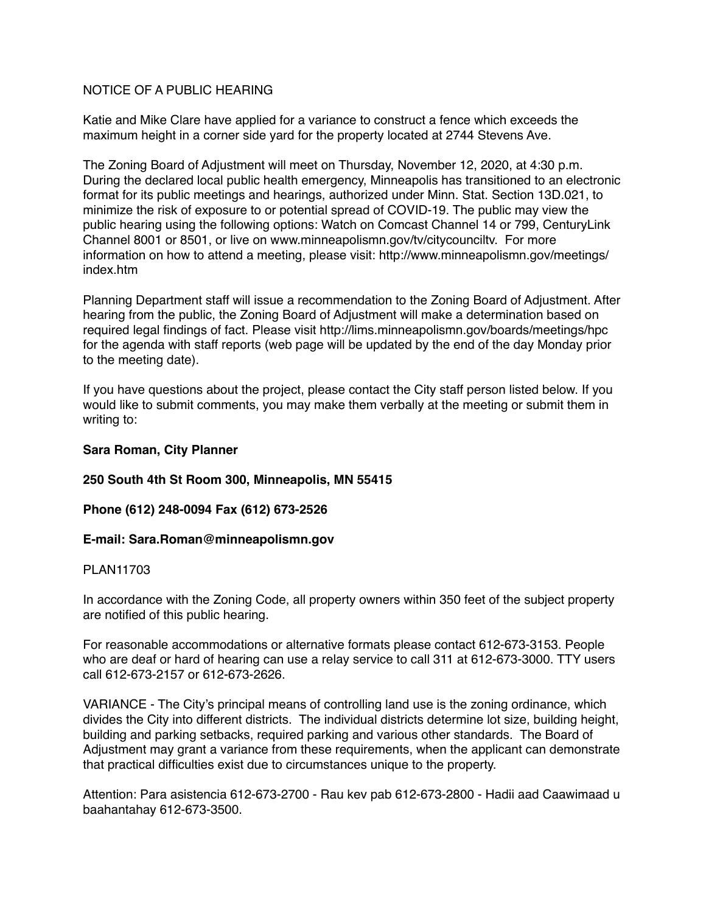## NOTICE OF A PUBLIC HEARING

Katie and Mike Clare have applied for a variance to construct a fence which exceeds the maximum height in a corner side yard for the property located at 2744 Stevens Ave.

The Zoning Board of Adjustment will meet on Thursday, November 12, 2020, at 4:30 p.m. During the declared local public health emergency, Minneapolis has transitioned to an electronic format for its public meetings and hearings, authorized under Minn. Stat. Section 13D.021, to minimize the risk of exposure to or potential spread of COVID-19. The public may view the public hearing using the following options: Watch on Comcast Channel 14 or 799, CenturyLink Channel 8001 or 8501, or live on www.minneapolismn.gov/tv/citycounciltv. For more information on how to attend a meeting, please visit: http://www.minneapolismn.gov/meetings/ index htm

Planning Department staff will issue a recommendation to the Zoning Board of Adjustment. After hearing from the public, the Zoning Board of Adjustment will make a determination based on required legal findings of fact. Please visit http://lims.minneapolismn.gov/boards/meetings/hpc for the agenda with staff reports (web page will be updated by the end of the day Monday prior to the meeting date).

If you have questions about the project, please contact the City staff person listed below. If you would like to submit comments, you may make them verbally at the meeting or submit them in writing to:

## **Sara Roman, City Planner**

# **250 South 4th St Room 300, Minneapolis, MN 55415**

# **Phone (612) 248-0094 Fax (612) 673-2526**

## **E-mail: Sara.Roman@minneapolismn.gov**

## PLAN11703

In accordance with the Zoning Code, all property owners within 350 feet of the subject property are notified of this public hearing.

For reasonable accommodations or alternative formats please contact 612-673-3153. People who are deaf or hard of hearing can use a relay service to call 311 at 612-673-3000. TTY users call 612-673-2157 or 612-673-2626.

VARIANCE - The City's principal means of controlling land use is the zoning ordinance, which divides the City into different districts. The individual districts determine lot size, building height, building and parking setbacks, required parking and various other standards. The Board of Adjustment may grant a variance from these requirements, when the applicant can demonstrate that practical difficulties exist due to circumstances unique to the property.

Attention: Para asistencia 612-673-2700 - Rau kev pab 612-673-2800 - Hadii aad Caawimaad u baahantahay 612-673-3500.